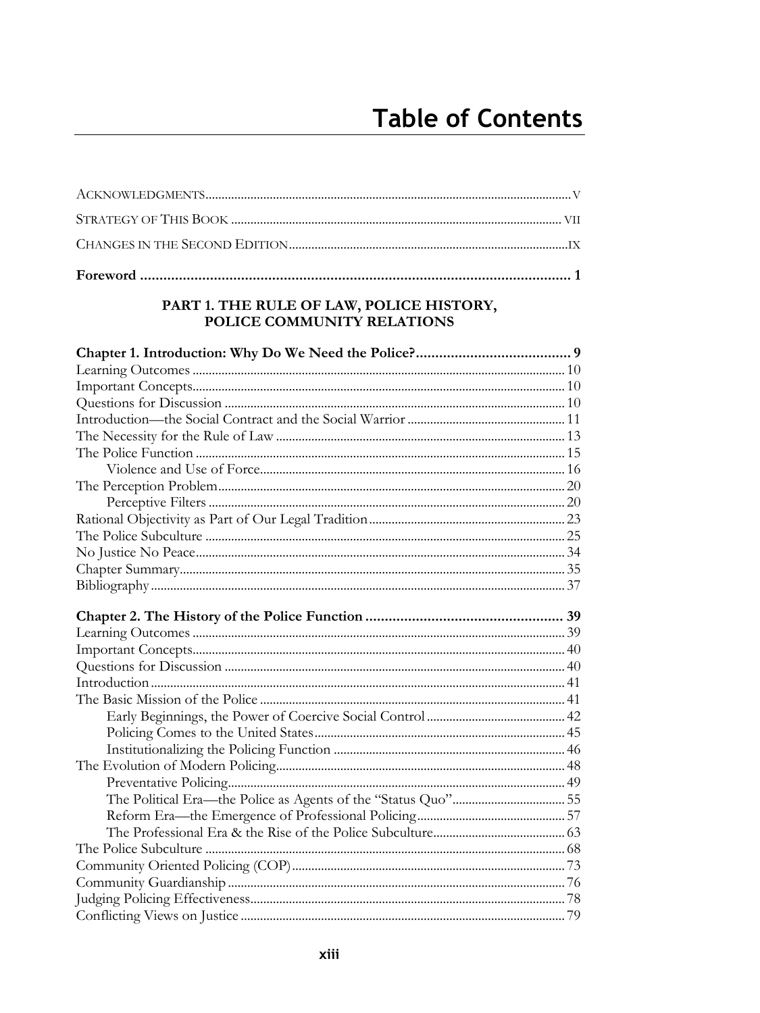#### PART 1. THE RULE OF LAW, POLICE HISTORY, POLICE COMMUNITY RELATIONS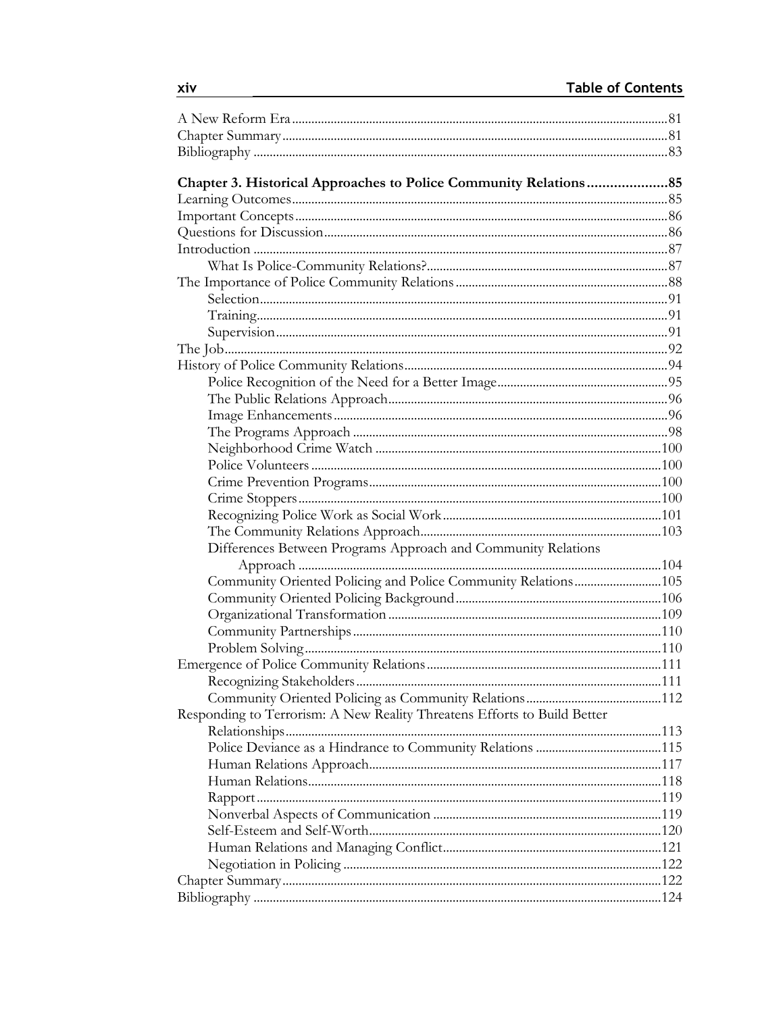| Chapter 3. Historical Approaches to Police Community Relations85         |  |
|--------------------------------------------------------------------------|--|
|                                                                          |  |
|                                                                          |  |
|                                                                          |  |
|                                                                          |  |
|                                                                          |  |
|                                                                          |  |
|                                                                          |  |
|                                                                          |  |
|                                                                          |  |
|                                                                          |  |
|                                                                          |  |
|                                                                          |  |
|                                                                          |  |
|                                                                          |  |
|                                                                          |  |
|                                                                          |  |
|                                                                          |  |
|                                                                          |  |
|                                                                          |  |
|                                                                          |  |
|                                                                          |  |
| Differences Between Programs Approach and Community Relations            |  |
|                                                                          |  |
| Community Oriented Policing and Police Community Relations105            |  |
|                                                                          |  |
|                                                                          |  |
|                                                                          |  |
|                                                                          |  |
|                                                                          |  |
|                                                                          |  |
|                                                                          |  |
| Responding to Terrorism: A New Reality Threatens Efforts to Build Better |  |
|                                                                          |  |
|                                                                          |  |
|                                                                          |  |
|                                                                          |  |
|                                                                          |  |
|                                                                          |  |
|                                                                          |  |
|                                                                          |  |
|                                                                          |  |
|                                                                          |  |
|                                                                          |  |
|                                                                          |  |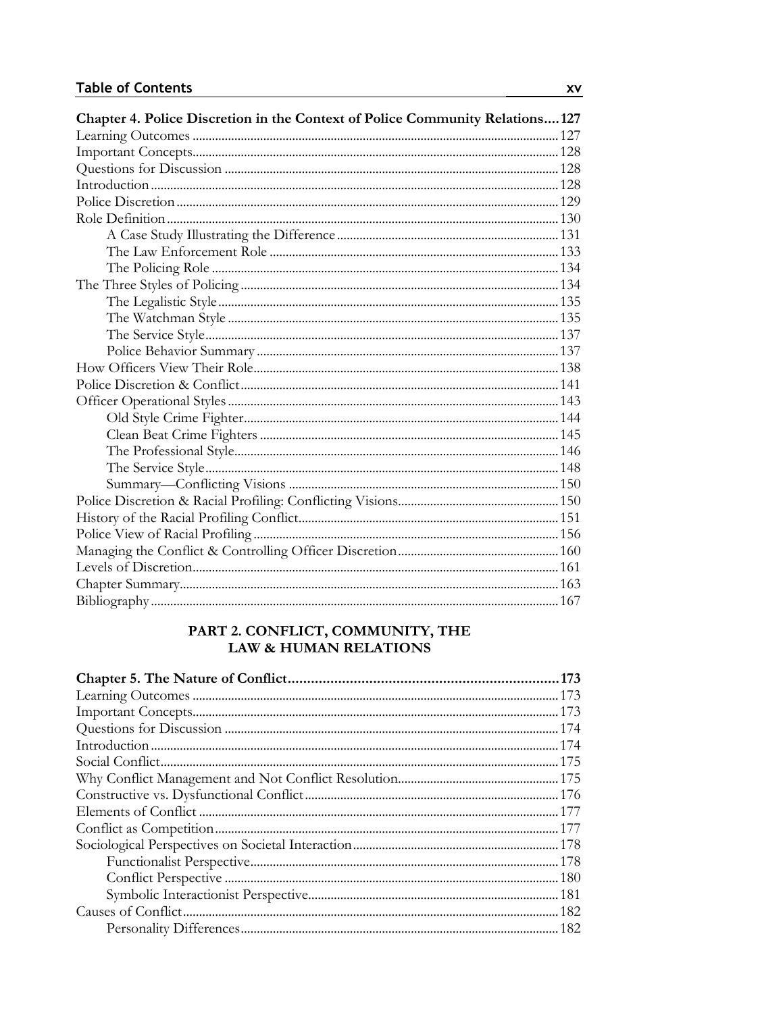| Chapter 4. Police Discretion in the Context of Police Community Relations 127 |  |
|-------------------------------------------------------------------------------|--|
|                                                                               |  |
|                                                                               |  |
|                                                                               |  |
|                                                                               |  |
|                                                                               |  |
|                                                                               |  |
|                                                                               |  |
|                                                                               |  |
|                                                                               |  |
|                                                                               |  |
|                                                                               |  |
|                                                                               |  |
|                                                                               |  |
|                                                                               |  |
|                                                                               |  |
|                                                                               |  |
|                                                                               |  |
|                                                                               |  |
|                                                                               |  |
|                                                                               |  |
|                                                                               |  |
|                                                                               |  |
|                                                                               |  |
|                                                                               |  |
|                                                                               |  |
|                                                                               |  |
|                                                                               |  |
|                                                                               |  |
|                                                                               |  |

# PART 2. CONFLICT, COMMUNITY, THE<br>LAW & HUMAN RELATIONS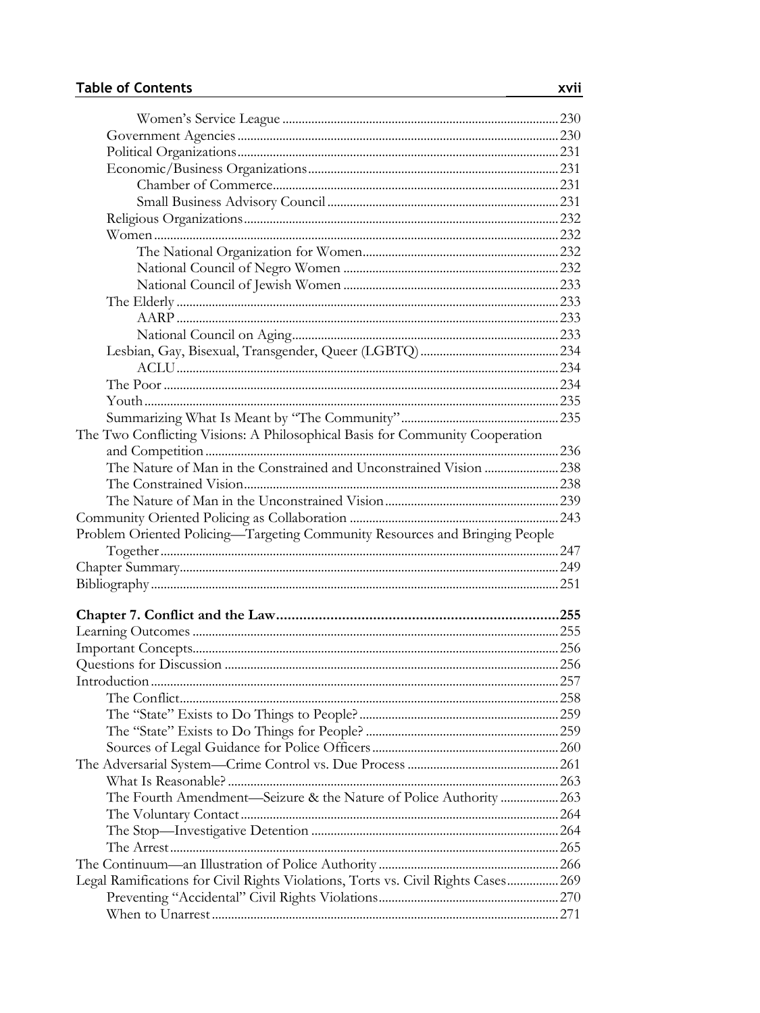| The Two Conflicting Visions: A Philosophical Basis for Community Cooperation      |  |
|-----------------------------------------------------------------------------------|--|
|                                                                                   |  |
| The Nature of Man in the Constrained and Unconstrained Vision  238                |  |
|                                                                                   |  |
|                                                                                   |  |
|                                                                                   |  |
|                                                                                   |  |
|                                                                                   |  |
| Problem Oriented Policing-Targeting Community Resources and Bringing People       |  |
|                                                                                   |  |
|                                                                                   |  |
|                                                                                   |  |
|                                                                                   |  |
|                                                                                   |  |
|                                                                                   |  |
|                                                                                   |  |
|                                                                                   |  |
|                                                                                   |  |
|                                                                                   |  |
|                                                                                   |  |
|                                                                                   |  |
|                                                                                   |  |
|                                                                                   |  |
| The Fourth Amendment-Seizure & the Nature of Police Authority  263                |  |
|                                                                                   |  |
|                                                                                   |  |
|                                                                                   |  |
|                                                                                   |  |
| Legal Ramifications for Civil Rights Violations, Torts vs. Civil Rights Cases 269 |  |
|                                                                                   |  |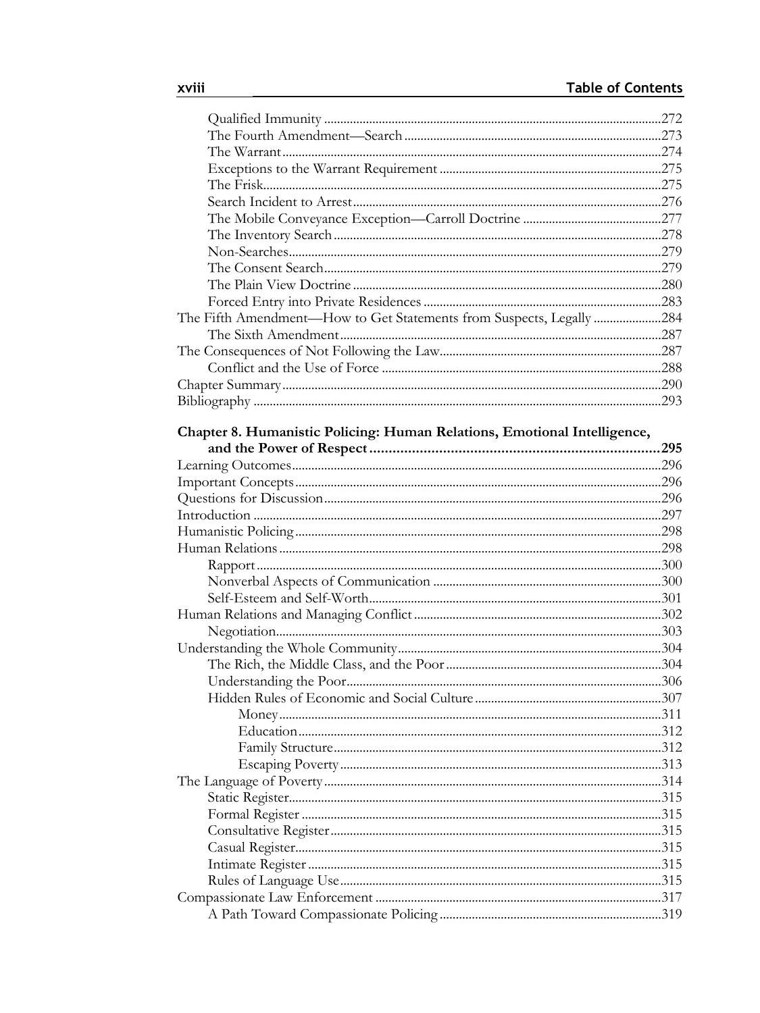| The Fifth Amendment—How to Get Statements from Suspects, Legally 284     |  |
|--------------------------------------------------------------------------|--|
|                                                                          |  |
|                                                                          |  |
|                                                                          |  |
|                                                                          |  |
|                                                                          |  |
|                                                                          |  |
| Chapter 8. Humanistic Policing: Human Relations, Emotional Intelligence, |  |
|                                                                          |  |
|                                                                          |  |
|                                                                          |  |
|                                                                          |  |
|                                                                          |  |
|                                                                          |  |
|                                                                          |  |
|                                                                          |  |
|                                                                          |  |
|                                                                          |  |
|                                                                          |  |
|                                                                          |  |
|                                                                          |  |
|                                                                          |  |
|                                                                          |  |
|                                                                          |  |
|                                                                          |  |
|                                                                          |  |
|                                                                          |  |
|                                                                          |  |
|                                                                          |  |
|                                                                          |  |
|                                                                          |  |
|                                                                          |  |
|                                                                          |  |
|                                                                          |  |
|                                                                          |  |
|                                                                          |  |
|                                                                          |  |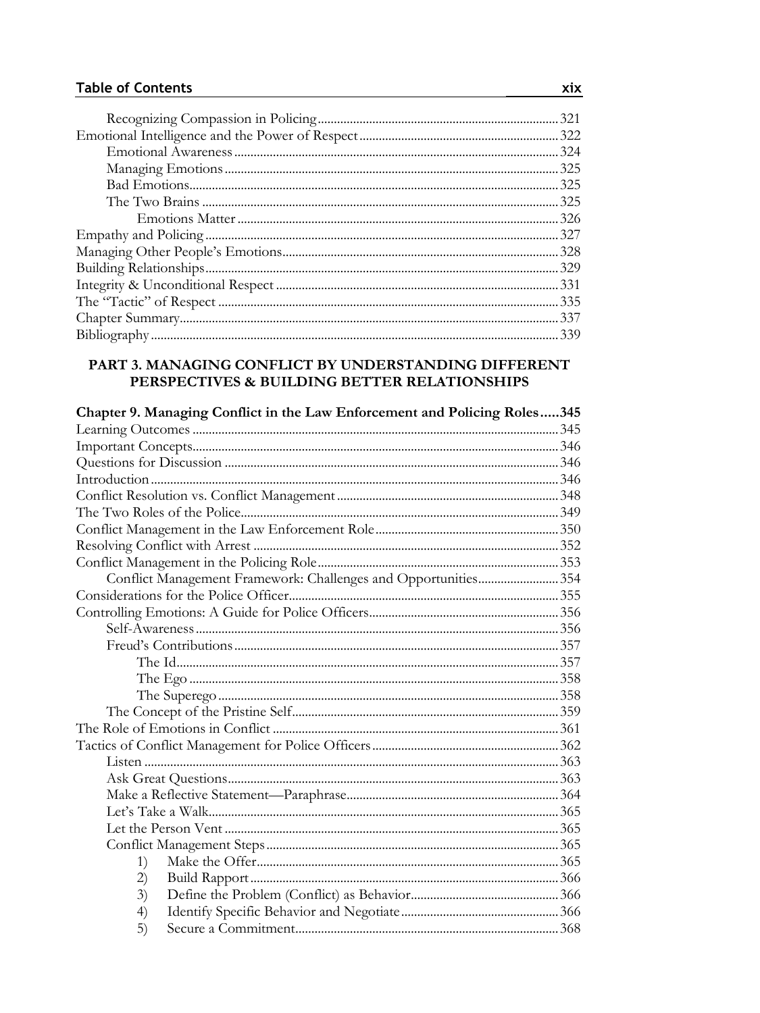| 325 |
|-----|
|     |
|     |
|     |
|     |
|     |
|     |
|     |
|     |
|     |
|     |
|     |

#### PART 3. MANAGING CONFLICT BY UNDERSTANDING DIFFERENT PERSPECTIVES & BUILDING BETTER RELATIONSHIPS

| Chapter 9. Managing Conflict in the Law Enforcement and Policing Roles345 |  |
|---------------------------------------------------------------------------|--|
|                                                                           |  |
|                                                                           |  |
|                                                                           |  |
|                                                                           |  |
|                                                                           |  |
|                                                                           |  |
|                                                                           |  |
|                                                                           |  |
|                                                                           |  |
| Conflict Management Framework: Challenges and Opportunities354            |  |
|                                                                           |  |
|                                                                           |  |
|                                                                           |  |
|                                                                           |  |
|                                                                           |  |
|                                                                           |  |
|                                                                           |  |
|                                                                           |  |
|                                                                           |  |
|                                                                           |  |
|                                                                           |  |
|                                                                           |  |
|                                                                           |  |
|                                                                           |  |
|                                                                           |  |
|                                                                           |  |
| 1)                                                                        |  |
| 2)                                                                        |  |
| 3)                                                                        |  |
| 4)                                                                        |  |
| 5)                                                                        |  |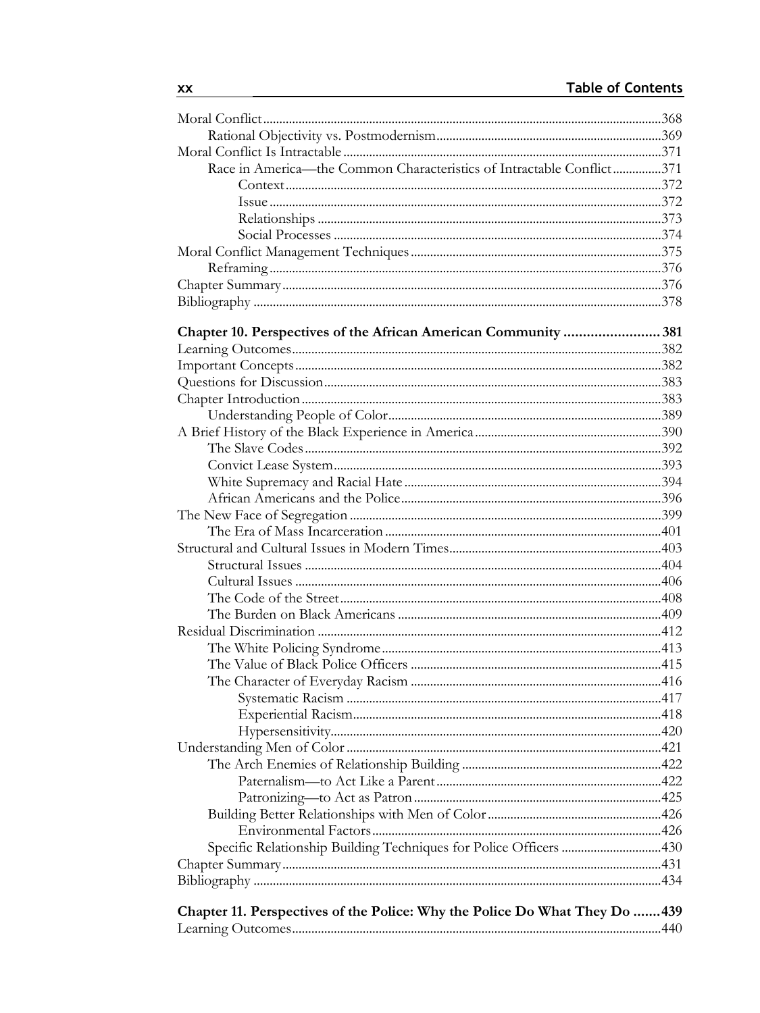| Race in America-the Common Characteristics of Intractable Conflict371       |  |
|-----------------------------------------------------------------------------|--|
|                                                                             |  |
|                                                                             |  |
|                                                                             |  |
|                                                                             |  |
|                                                                             |  |
|                                                                             |  |
|                                                                             |  |
|                                                                             |  |
|                                                                             |  |
| Chapter 10. Perspectives of the African American Community 381              |  |
|                                                                             |  |
|                                                                             |  |
|                                                                             |  |
|                                                                             |  |
|                                                                             |  |
|                                                                             |  |
|                                                                             |  |
|                                                                             |  |
|                                                                             |  |
|                                                                             |  |
|                                                                             |  |
|                                                                             |  |
|                                                                             |  |
|                                                                             |  |
|                                                                             |  |
|                                                                             |  |
|                                                                             |  |
|                                                                             |  |
|                                                                             |  |
|                                                                             |  |
|                                                                             |  |
|                                                                             |  |
|                                                                             |  |
|                                                                             |  |
|                                                                             |  |
|                                                                             |  |
|                                                                             |  |
|                                                                             |  |
|                                                                             |  |
|                                                                             |  |
|                                                                             |  |
|                                                                             |  |
|                                                                             |  |
|                                                                             |  |
| Chapter 11. Perspectives of the Police: Why the Police Do What They Do  439 |  |
|                                                                             |  |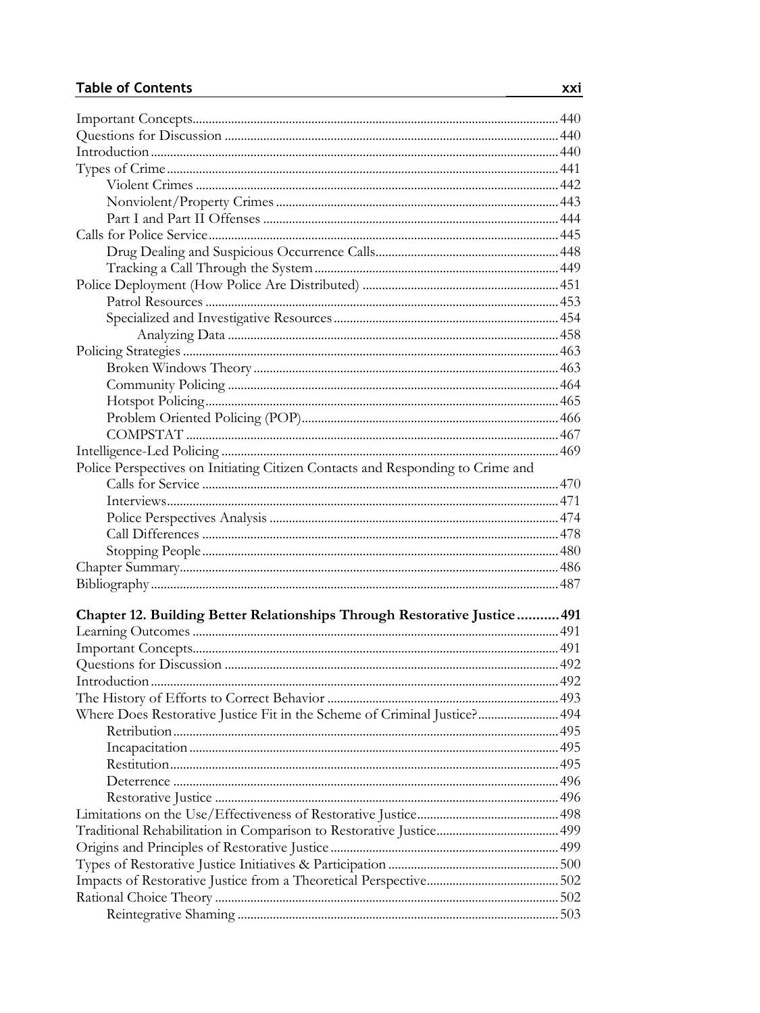| Police Perspectives on Initiating Citizen Contacts and Responding to Crime and |  |
|--------------------------------------------------------------------------------|--|
|                                                                                |  |
|                                                                                |  |
|                                                                                |  |
|                                                                                |  |
|                                                                                |  |
|                                                                                |  |
|                                                                                |  |
|                                                                                |  |
| Chapter 12. Building Better Relationships Through Restorative Justice  491     |  |
|                                                                                |  |
|                                                                                |  |
|                                                                                |  |
|                                                                                |  |
|                                                                                |  |
| Where Does Restorative Justice Fit in the Scheme of Criminal Justice? 494      |  |
|                                                                                |  |
|                                                                                |  |
|                                                                                |  |
|                                                                                |  |
|                                                                                |  |
|                                                                                |  |
|                                                                                |  |
|                                                                                |  |
|                                                                                |  |
|                                                                                |  |
|                                                                                |  |
|                                                                                |  |